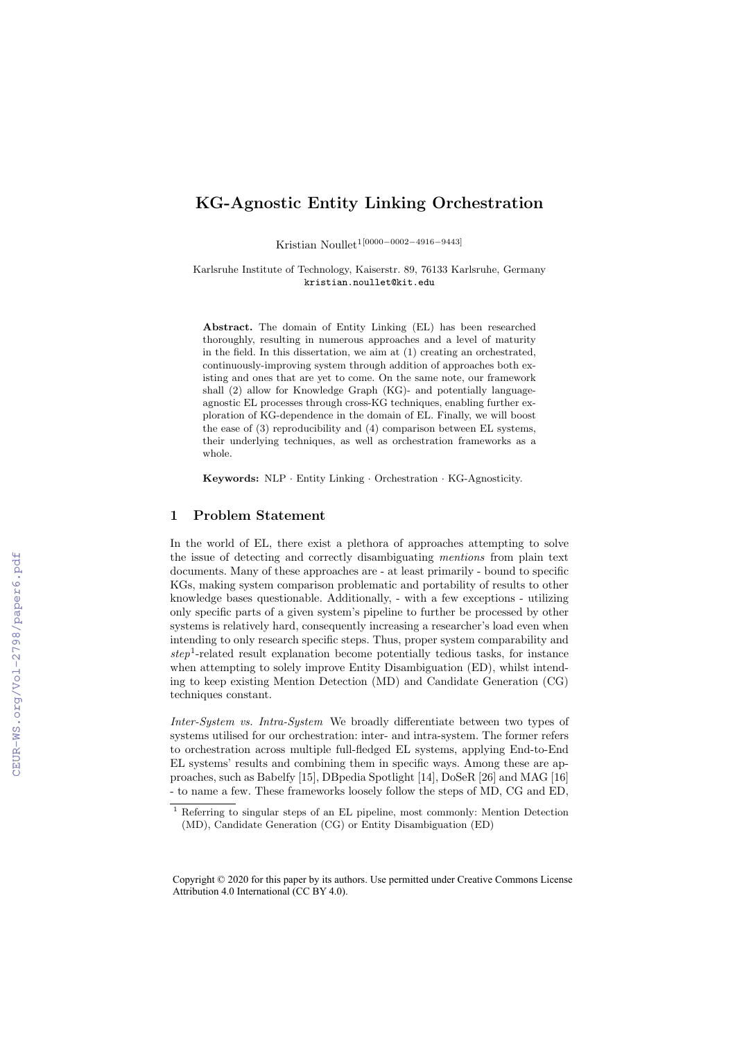# KG-Agnostic Entity Linking Orchestration

Kristian Noullet<sup>1[0000-0002-4916-9443]</sup>

Karlsruhe Institute of Technology, Kaiserstr. 89, 76133 Karlsruhe, Germany kristian.noullet@kit.edu

Abstract. The domain of Entity Linking (EL) has been researched thoroughly, resulting in numerous approaches and a level of maturity in the field. In this dissertation, we aim at (1) creating an orchestrated, continuously-improving system through addition of approaches both existing and ones that are yet to come. On the same note, our framework shall (2) allow for Knowledge Graph (KG)- and potentially languageagnostic EL processes through cross-KG techniques, enabling further exploration of KG-dependence in the domain of EL. Finally, we will boost the ease of (3) reproducibility and (4) comparison between EL systems, their underlying techniques, as well as orchestration frameworks as a whole.

Keywords: NLP *·* Entity Linking *·* Orchestration *·* KG-Agnosticity.

#### 1 Problem Statement

In the world of EL, there exist a plethora of approaches attempting to solve the issue of detecting and correctly disambiguating *mentions* from plain text documents. Many of these approaches are - at least primarily - bound to specific KGs, making system comparison problematic and portability of results to other knowledge bases questionable. Additionally, - with a few exceptions - utilizing only specific parts of a given system's pipeline to further be processed by other systems is relatively hard, consequently increasing a researcher's load even when intending to only research specific steps. Thus, proper system comparability and *step*<sup>1</sup>-related result explanation become potentially tedious tasks, for instance when attempting to solely improve Entity Disambiguation (ED), whilst intending to keep existing Mention Detection (MD) and Candidate Generation (CG) techniques constant.

*Inter-System vs. Intra-System* We broadly differentiate between two types of systems utilised for our orchestration: inter- and intra-system. The former refers to orchestration across multiple full-fledged EL systems, applying End-to-End EL systems' results and combining them in specific ways. Among these are approaches, such as Babelfy [15], DBpedia Spotlight [14], DoSeR [26] and MAG [16] - to name a few. These frameworks loosely follow the steps of MD, CG and ED,

<sup>1</sup> Referring to singular steps of an EL pipeline, most commonly: Mention Detection (MD), Candidate Generation (CG) or Entity Disambiguation (ED)

Copyright © 2020 for this paper by its authors. Use permitted under Creative Commons License Attribution 4.0 International (CC BY 4.0).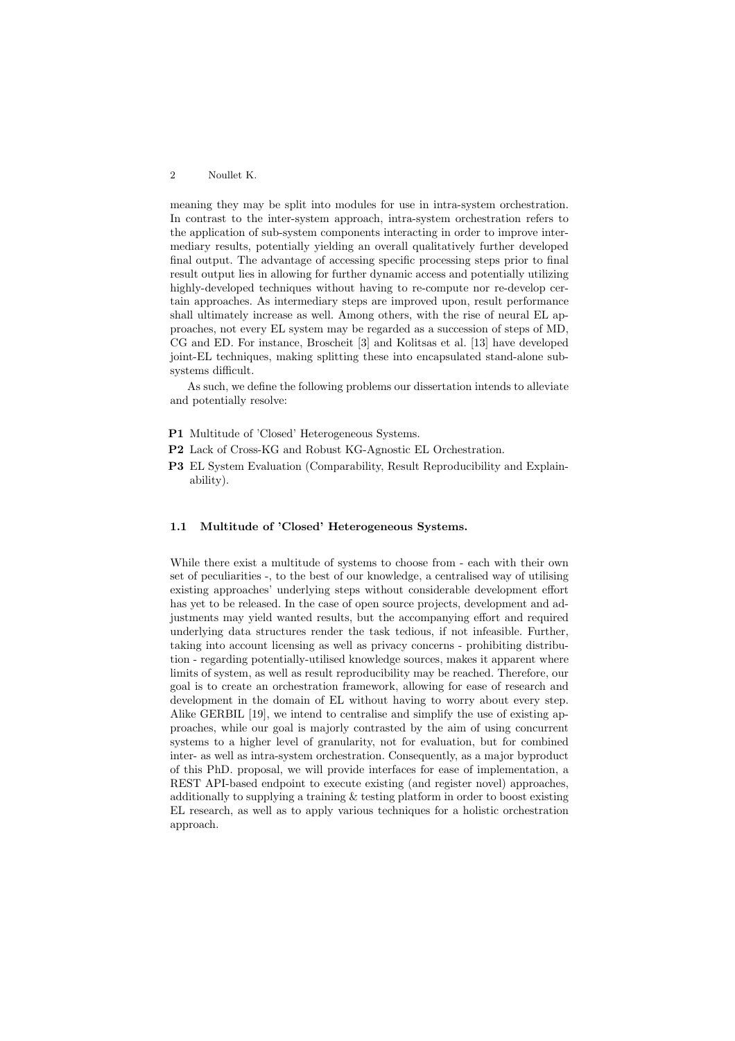meaning they may be split into modules for use in intra-system orchestration. In contrast to the inter-system approach, intra-system orchestration refers to the application of sub-system components interacting in order to improve intermediary results, potentially yielding an overall qualitatively further developed final output. The advantage of accessing specific processing steps prior to final result output lies in allowing for further dynamic access and potentially utilizing highly-developed techniques without having to re-compute nor re-develop certain approaches. As intermediary steps are improved upon, result performance shall ultimately increase as well. Among others, with the rise of neural EL approaches, not every EL system may be regarded as a succession of steps of MD, CG and ED. For instance, Broscheit [3] and Kolitsas et al. [13] have developed joint-EL techniques, making splitting these into encapsulated stand-alone subsystems difficult.

As such, we define the following problems our dissertation intends to alleviate and potentially resolve:

- P1 Multitude of 'Closed' Heterogeneous Systems.
- P2 Lack of Cross-KG and Robust KG-Agnostic EL Orchestration.
- P3 EL System Evaluation (Comparability, Result Reproducibility and Explainability).

#### 1.1 Multitude of 'Closed' Heterogeneous Systems.

While there exist a multitude of systems to choose from - each with their own set of peculiarities -, to the best of our knowledge, a centralised way of utilising existing approaches' underlying steps without considerable development effort has yet to be released. In the case of open source projects, development and adjustments may yield wanted results, but the accompanying effort and required underlying data structures render the task tedious, if not infeasible. Further, taking into account licensing as well as privacy concerns - prohibiting distribution - regarding potentially-utilised knowledge sources, makes it apparent where limits of system, as well as result reproducibility may be reached. Therefore, our goal is to create an orchestration framework, allowing for ease of research and development in the domain of EL without having to worry about every step. Alike GERBIL [19], we intend to centralise and simplify the use of existing approaches, while our goal is majorly contrasted by the aim of using concurrent systems to a higher level of granularity, not for evaluation, but for combined inter- as well as intra-system orchestration. Consequently, as a major byproduct of this PhD. proposal, we will provide interfaces for ease of implementation, a REST API-based endpoint to execute existing (and register novel) approaches, additionally to supplying a training  $&$  testing platform in order to boost existing EL research, as well as to apply various techniques for a holistic orchestration approach.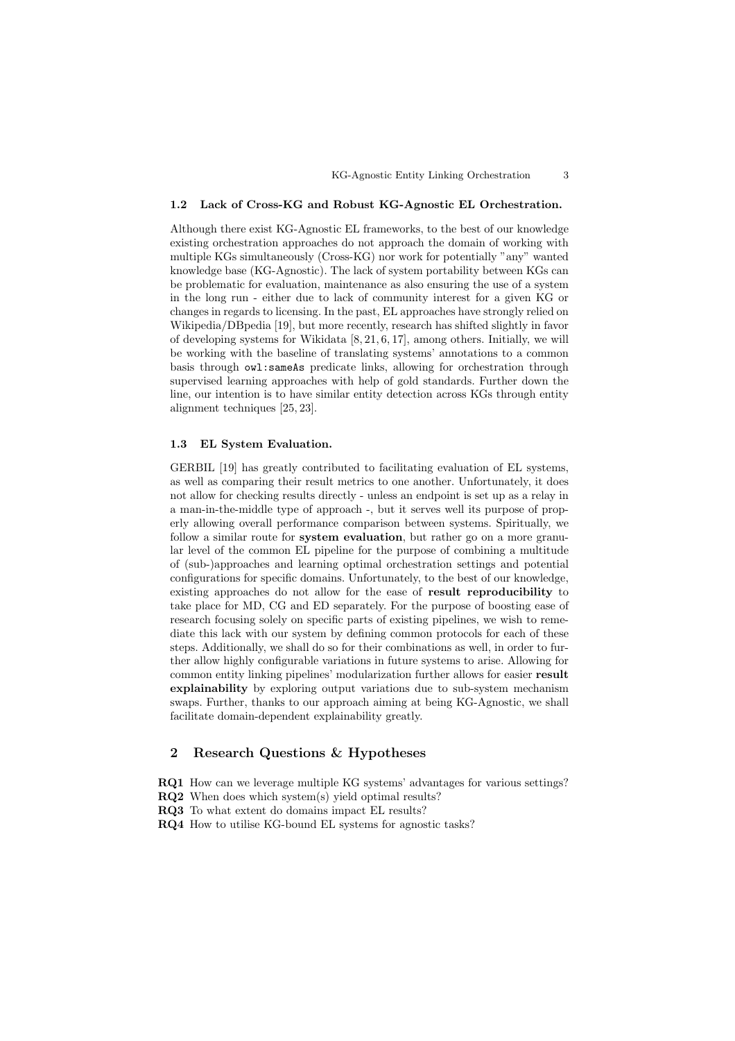#### 1.2 Lack of Cross-KG and Robust KG-Agnostic EL Orchestration.

Although there exist KG-Agnostic EL frameworks, to the best of our knowledge existing orchestration approaches do not approach the domain of working with multiple KGs simultaneously (Cross-KG) nor work for potentially "any" wanted knowledge base (KG-Agnostic). The lack of system portability between KGs can be problematic for evaluation, maintenance as also ensuring the use of a system in the long run - either due to lack of community interest for a given KG or changes in regards to licensing. In the past, EL approaches have strongly relied on Wikipedia/DBpedia [19], but more recently, research has shifted slightly in favor of developing systems for Wikidata [8, 21, 6, 17], among others. Initially, we will be working with the baseline of translating systems' annotations to a common basis through owl:sameAs predicate links, allowing for orchestration through supervised learning approaches with help of gold standards. Further down the line, our intention is to have similar entity detection across KGs through entity alignment techniques [25, 23].

#### 1.3 EL System Evaluation.

GERBIL [19] has greatly contributed to facilitating evaluation of EL systems, as well as comparing their result metrics to one another. Unfortunately, it does not allow for checking results directly - unless an endpoint is set up as a relay in a man-in-the-middle type of approach -, but it serves well its purpose of properly allowing overall performance comparison between systems. Spiritually, we follow a similar route for **system evaluation**, but rather go on a more granular level of the common EL pipeline for the purpose of combining a multitude of (sub-)approaches and learning optimal orchestration settings and potential configurations for specific domains. Unfortunately, to the best of our knowledge, existing approaches do not allow for the ease of result reproducibility to take place for MD, CG and ED separately. For the purpose of boosting ease of research focusing solely on specific parts of existing pipelines, we wish to remediate this lack with our system by defining common protocols for each of these steps. Additionally, we shall do so for their combinations as well, in order to further allow highly configurable variations in future systems to arise. Allowing for common entity linking pipelines' modularization further allows for easier result explainability by exploring output variations due to sub-system mechanism swaps. Further, thanks to our approach aiming at being KG-Agnostic, we shall facilitate domain-dependent explainability greatly.

## 2 Research Questions & Hypotheses

- RQ1 How can we leverage multiple KG systems' advantages for various settings?
- RQ2 When does which system(s) yield optimal results?
- RQ3 To what extent do domains impact EL results?
- RQ4 How to utilise KG-bound EL systems for agnostic tasks?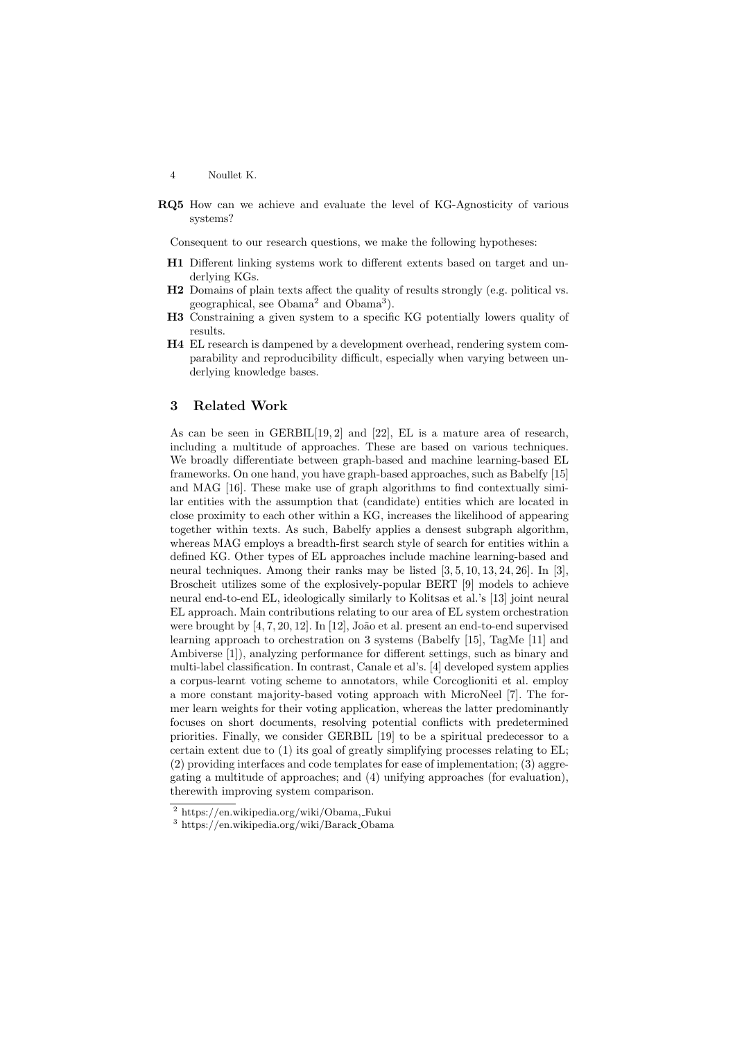RQ5 How can we achieve and evaluate the level of KG-Agnosticity of various systems?

Consequent to our research questions, we make the following hypotheses:

- H1 Different linking systems work to different extents based on target and underlying KGs.
- $H2$  Domains of plain texts affect the quality of results strongly (e.g. political vs. geographical, see Obama<sup>2</sup> and Obama<sup>3</sup>).
- H3 Constraining a given system to a specific KG potentially lowers quality of results.
- H4 EL research is dampened by a development overhead, rendering system comparability and reproducibility difficult, especially when varying between underlying knowledge bases.

## 3 Related Work

As can be seen in GERBIL[19,2] and [22], EL is a mature area of research, including a multitude of approaches. These are based on various techniques. We broadly differentiate between graph-based and machine learning-based EL frameworks. On one hand, you have graph-based approaches, such as Babelfy [15] and MAG [16]. These make use of graph algorithms to find contextually similar entities with the assumption that (candidate) entities which are located in close proximity to each other within a KG, increases the likelihood of appearing together within texts. As such, Babelfy applies a densest subgraph algorithm, whereas MAG employs a breadth-first search style of search for entities within a defined KG. Other types of EL approaches include machine learning-based and neural techniques. Among their ranks may be listed [3, 5, 10, 13, 24, 26]. In [3], Broscheit utilizes some of the explosively-popular BERT [9] models to achieve neural end-to-end EL, ideologically similarly to Kolitsas et al.'s [13] joint neural EL approach. Main contributions relating to our area of EL system orchestration were brought by  $[4, 7, 20, 12]$ . In  $[12]$ , João et al. present an end-to-end supervised learning approach to orchestration on 3 systems (Babelfy [15], TagMe [11] and Ambiverse  $[1]$ , analyzing performance for different settings, such as binary and multi-label classification. In contrast, Canale et al's. [4] developed system applies a corpus-learnt voting scheme to annotators, while Corcoglioniti et al. employ a more constant majority-based voting approach with MicroNeel [7]. The former learn weights for their voting application, whereas the latter predominantly focuses on short documents, resolving potential conflicts with predetermined priorities. Finally, we consider GERBIL [19] to be a spiritual predecessor to a certain extent due to (1) its goal of greatly simplifying processes relating to EL; (2) providing interfaces and code templates for ease of implementation; (3) aggregating a multitude of approaches; and (4) unifying approaches (for evaluation), therewith improving system comparison.

 $\overline{\text{ }^{2}$ https://en.wikipedia.org/wiki/Obama,<br/>\_Fukui

<sup>3</sup> https://en.wikipedia.org/wiki/Barack Obama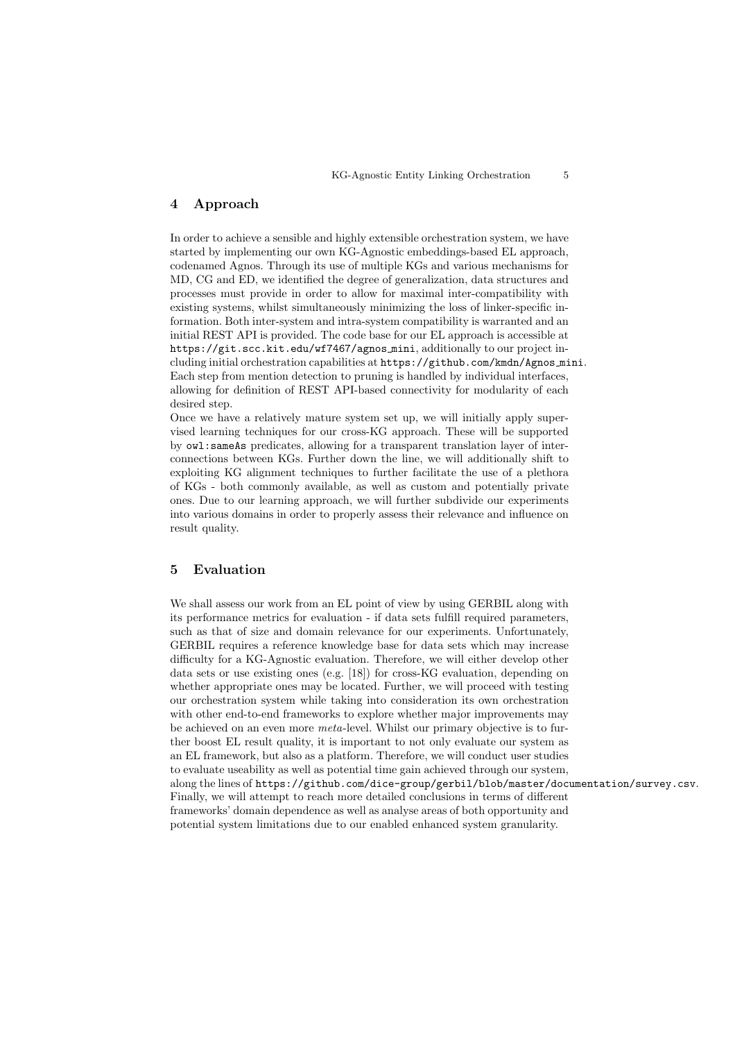### 4 Approach

In order to achieve a sensible and highly extensible orchestration system, we have started by implementing our own KG-Agnostic embeddings-based EL approach, codenamed Agnos. Through its use of multiple KGs and various mechanisms for MD, CG and ED, we identified the degree of generalization, data structures and processes must provide in order to allow for maximal inter-compatibility with existing systems, whilst simultaneously minimizing the loss of linker-specific information. Both inter-system and intra-system compatibility is warranted and an initial REST API is provided. The code base for our EL approach is accessible at https://git.scc.kit.edu/wf7467/agnos mini, additionally to our project including initial orchestration capabilities at https://github.com/kmdn/Agnos mini. Each step from mention detection to pruning is handled by individual interfaces, allowing for definition of REST API-based connectivity for modularity of each desired step.

Once we have a relatively mature system set up, we will initially apply supervised learning techniques for our cross-KG approach. These will be supported by owl:sameAs predicates, allowing for a transparent translation layer of interconnections between KGs. Further down the line, we will additionally shift to exploiting KG alignment techniques to further facilitate the use of a plethora of KGs - both commonly available, as well as custom and potentially private ones. Due to our learning approach, we will further subdivide our experiments into various domains in order to properly assess their relevance and influence on result quality.

### 5 Evaluation

We shall assess our work from an EL point of view by using GERBIL along with its performance metrics for evaluation - if data sets fulfill required parameters, such as that of size and domain relevance for our experiments. Unfortunately, GERBIL requires a reference knowledge base for data sets which may increase difficulty for a KG-Agnostic evaluation. Therefore, we will either develop other data sets or use existing ones (e.g. [18]) for cross-KG evaluation, depending on whether appropriate ones may be located. Further, we will proceed with testing our orchestration system while taking into consideration its own orchestration with other end-to-end frameworks to explore whether major improvements may be achieved on an even more *meta*-level. Whilst our primary objective is to further boost EL result quality, it is important to not only evaluate our system as an EL framework, but also as a platform. Therefore, we will conduct user studies to evaluate useability as well as potential time gain achieved through our system, along the lines of https://github.com/dice-group/gerbil/blob/master/documentation/survey.csv. Finally, we will attempt to reach more detailed conclusions in terms of different frameworks' domain dependence as well as analyse areas of both opportunity and potential system limitations due to our enabled enhanced system granularity.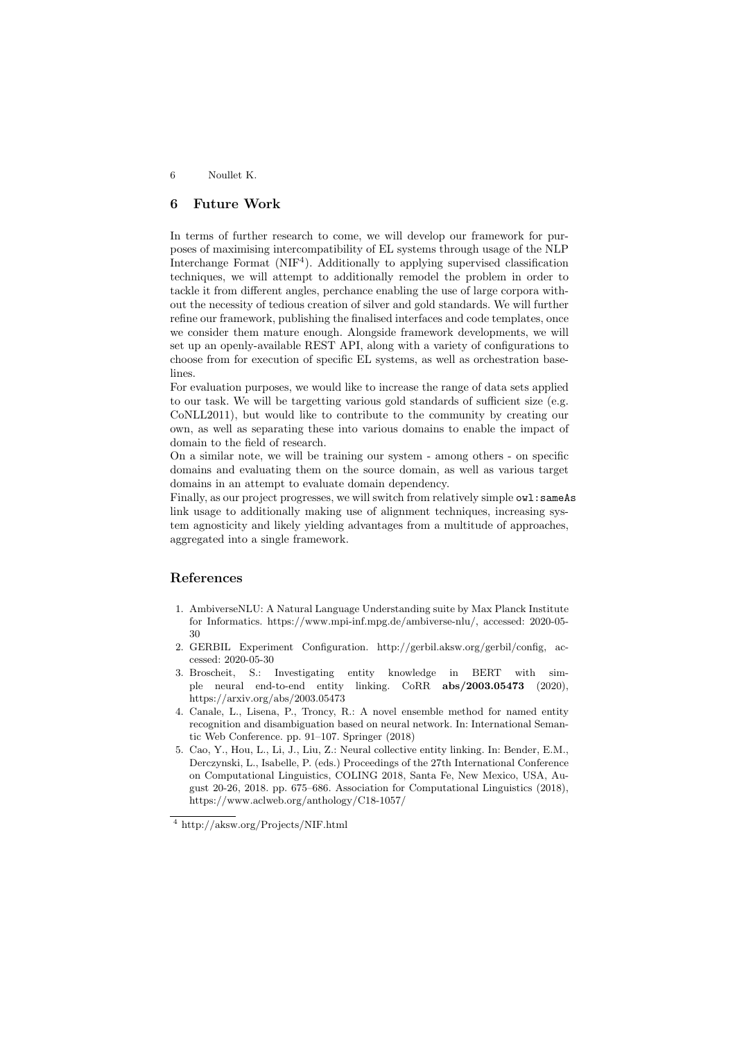#### 6 Future Work

In terms of further research to come, we will develop our framework for purposes of maximising intercompatibility of EL systems through usage of the NLP Interchange Format ( $NIF<sup>4</sup>$ ). Additionally to applying supervised classification techniques, we will attempt to additionally remodel the problem in order to tackle it from different angles, perchance enabling the use of large corpora without the necessity of tedious creation of silver and gold standards. We will further refine our framework, publishing the finalised interfaces and code templates, once we consider them mature enough. Alongside framework developments, we will set up an openly-available REST API, along with a variety of configurations to choose from for execution of specific EL systems, as well as orchestration baselines.

For evaluation purposes, we would like to increase the range of data sets applied to our task. We will be targetting various gold standards of sufficient size (e.g. CoNLL2011), but would like to contribute to the community by creating our own, as well as separating these into various domains to enable the impact of domain to the field of research.

On a similar note, we will be training our system - among others - on specific domains and evaluating them on the source domain, as well as various target domains in an attempt to evaluate domain dependency.

Finally, as our project progresses, we will switch from relatively simple owl:sameAs link usage to additionally making use of alignment techniques, increasing system agnosticity and likely yielding advantages from a multitude of approaches, aggregated into a single framework.

## References

- 1. AmbiverseNLU: A Natural Language Understanding suite by Max Planck Institute for Informatics. https://www.mpi-inf.mpg.de/ambiverse-nlu/, accessed: 2020-05- 30
- 2. GERBIL Experiment Configuration. http://gerbil.aksw.org/gerbil/config, accessed: 2020-05-30
- 3. Broscheit, S.: Investigating entity knowledge in BERT with simple neural end-to-end entity linking. CoRR abs/2003.05473 (2020), https://arxiv.org/abs/2003.05473
- 4. Canale, L., Lisena, P., Troncy, R.: A novel ensemble method for named entity recognition and disambiguation based on neural network. In: International Semantic Web Conference. pp. 91–107. Springer (2018)
- 5. Cao, Y., Hou, L., Li, J., Liu, Z.: Neural collective entity linking. In: Bender, E.M., Derczynski, L., Isabelle, P. (eds.) Proceedings of the 27th International Conference on Computational Linguistics, COLING 2018, Santa Fe, New Mexico, USA, August 20-26, 2018. pp. 675–686. Association for Computational Linguistics (2018), https://www.aclweb.org/anthology/C18-1057/

 $\frac{4}{4}$  http://aksw.org/Projects/NIF.html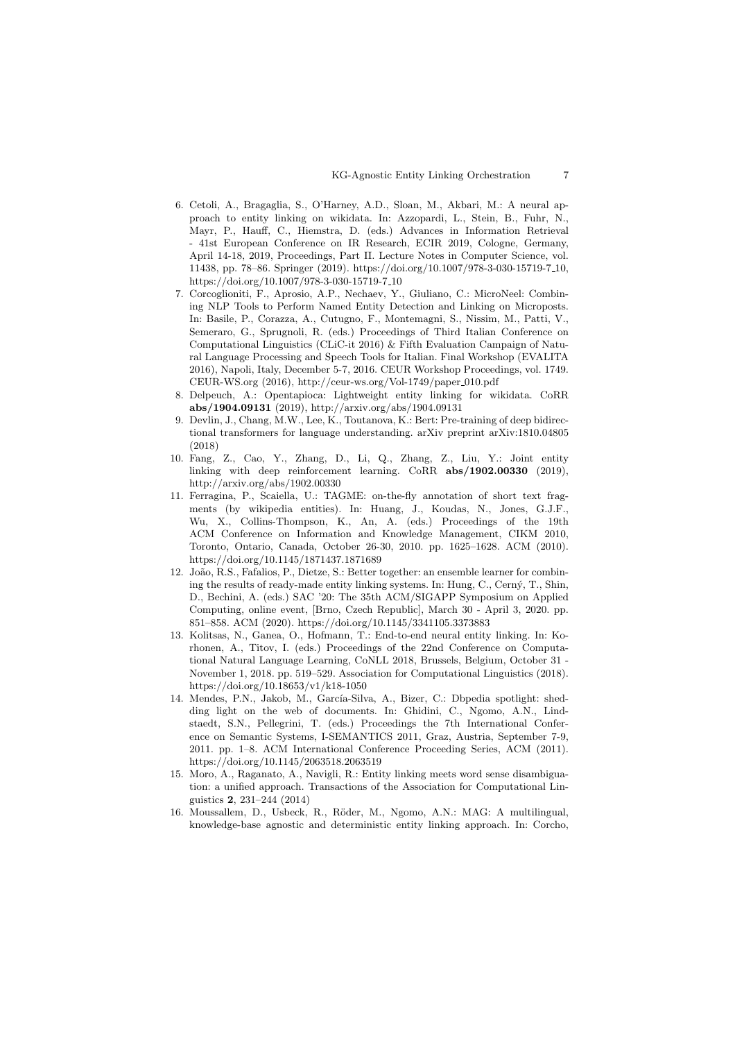- 6. Cetoli, A., Bragaglia, S., O'Harney, A.D., Sloan, M., Akbari, M.: A neural approach to entity linking on wikidata. In: Azzopardi, L., Stein, B., Fuhr, N., Mayr, P., Hauff, C., Hiemstra, D. (eds.) Advances in Information Retrieval - 41st European Conference on IR Research, ECIR 2019, Cologne, Germany, April 14-18, 2019, Proceedings, Part II. Lecture Notes in Computer Science, vol. 11438, pp. 78–86. Springer (2019). https://doi.org/10.1007/978-3-030-15719-7 10, https://doi.org/10.1007/978-3-030-15719-7 10
- 7. Corcoglioniti, F., Aprosio, A.P., Nechaev, Y., Giuliano, C.: MicroNeel: Combining NLP Tools to Perform Named Entity Detection and Linking on Microposts. In: Basile, P., Corazza, A., Cutugno, F., Montemagni, S., Nissim, M., Patti, V., Semeraro, G., Sprugnoli, R. (eds.) Proceedings of Third Italian Conference on Computational Linguistics (CLiC-it 2016) & Fifth Evaluation Campaign of Natural Language Processing and Speech Tools for Italian. Final Workshop (EVALITA 2016), Napoli, Italy, December 5-7, 2016. CEUR Workshop Proceedings, vol. 1749. CEUR-WS.org (2016), http://ceur-ws.org/Vol-1749/paper\_010.pdf
- 8. Delpeuch, A.: Opentapioca: Lightweight entity linking for wikidata. CoRR abs/1904.09131 (2019), http://arxiv.org/abs/1904.09131
- 9. Devlin, J., Chang, M.W., Lee, K., Toutanova, K.: Bert: Pre-training of deep bidirectional transformers for language understanding. arXiv preprint arXiv:1810.04805 (2018)
- 10. Fang, Z., Cao, Y., Zhang, D., Li, Q., Zhang, Z., Liu, Y.: Joint entity linking with deep reinforcement learning. CoRR abs/1902.00330 (2019), http://arxiv.org/abs/1902.00330
- 11. Ferragina, P., Scaiella, U.: TAGME: on-the-fly annotation of short text fragments (by wikipedia entities). In: Huang, J., Koudas, N., Jones, G.J.F., Wu, X., Collins-Thompson, K., An, A. (eds.) Proceedings of the 19th ACM Conference on Information and Knowledge Management, CIKM 2010, Toronto, Ontario, Canada, October 26-30, 2010. pp. 1625–1628. ACM (2010). https://doi.org/10.1145/1871437.1871689
- 12. João, R.S., Fafalios, P., Dietze, S.: Better together: an ensemble learner for combining the results of ready-made entity linking systems. In: Hung, C., Cern´y, T., Shin, D., Bechini, A. (eds.) SAC '20: The 35th ACM/SIGAPP Symposium on Applied Computing, online event, [Brno, Czech Republic], March 30 - April 3, 2020. pp. 851–858. ACM (2020). https://doi.org/10.1145/3341105.3373883
- 13. Kolitsas, N., Ganea, O., Hofmann, T.: End-to-end neural entity linking. In: Korhonen, A., Titov, I. (eds.) Proceedings of the 22nd Conference on Computational Natural Language Learning, CoNLL 2018, Brussels, Belgium, October 31 - November 1, 2018. pp. 519–529. Association for Computational Linguistics (2018). https://doi.org/10.18653/v1/k18-1050
- 14. Mendes, P.N., Jakob, M., García-Silva, A., Bizer, C.: Dbpedia spotlight: shedding light on the web of documents. In: Ghidini, C., Ngomo, A.N., Lindstaedt, S.N., Pellegrini, T. (eds.) Proceedings the 7th International Conference on Semantic Systems, I-SEMANTICS 2011, Graz, Austria, September 7-9, 2011. pp. 1–8. ACM International Conference Proceeding Series, ACM (2011). https://doi.org/10.1145/2063518.2063519
- 15. Moro, A., Raganato, A., Navigli, R.: Entity linking meets word sense disambiguation: a unified approach. Transactions of the Association for Computational Linguistics 2, 231–244 (2014)
- 16. Moussallem, D., Usbeck, R., Röder, M., Ngomo, A.N.: MAG: A multilingual, knowledge-base agnostic and deterministic entity linking approach. In: Corcho,